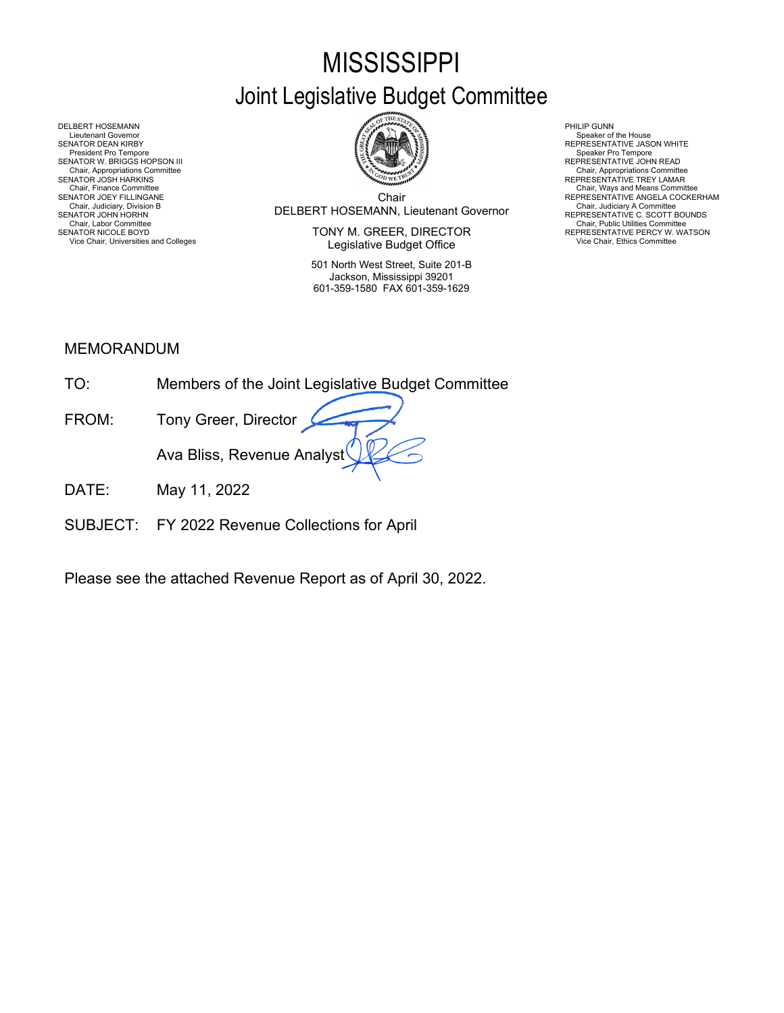# **MISSISSIPPI** Joint Legislative Budget Committee



Chair Chair, Judiciary, Division B<br>SENATOR JOHN HORHN BOUNDS (REPRESENTATIVE C. SCOTT BOUNDS Chair, Finance Committee<br>SENATOR JOEY FILLINGANE NEERES AND THE SENATOR OF SERVICE ANGELA COCKERHAM

SENATOR NICOLE BOYD **EXECTOR EXECUTOR SENATOR OF A CONSUMING A CONSUMING PRESENTATIVE PERCY W. WATSON** Legislative Budget Office Vice Chair, Universities and Colleges **Chair, Universities and Colleges** Vice Chair, Ethics Committee **Vice Chair, Ethics Committee** 

> 501 North West Street, Suite 201-B Jackson, Mississippi 39201 601-359-1580 FAX 601-359-1629

Chair, Appropriations Committee<br>REPRESENTATIVE TREY LAMAR

DELBERT HOSEMANN PHILIP GUNN<br>Lieutenant Governor (Philip Gunn) and the set of the set of the set of the set of the set of the set of the set of the set of the set of the set of the set of the set of the set of the set of t Lieutenant Governor (Speaker of the House President Covernor Speaker of the House President Overnor Speaker of the House President Pro Tempore (Speaker of the House President Pro Tempore President Pro Tempore Pro Tempore P SENATOR W. BRIGGS HOPSON III READ AND READ AND READ AND REPRESENTATIVE JOHN READ Chair, Appropriations Committee<br>SENATOR JOSH HARKINS<br>Chair, Finance Committee<br>SENATOR JOEY FILLINGANE Chair, Judiciary Atomities Chair, Judiciary Atomities Chair, Judiciary Atomities Chair, Chair, Chair, Chair, Chair, Chair, Chair, Chair, Chair, Chair, Uniciary Atomities Chair, Labor Committee Chair, Labor Chair, Labor Com

### MEMORANDUM

| TO:   | Members of the Joint Legislative Budget Committee |
|-------|---------------------------------------------------|
| FROM: | Tony Greer, Director                              |
|       | Ava Bliss, Revenue Analyst                        |
|       | $M_{01}$ , 11 0000                                |

- DATE: May 11, 2022
- SUBJECT: FY 2022 Revenue Collections for April

Please see the attached Revenue Report as of April 30, 2022.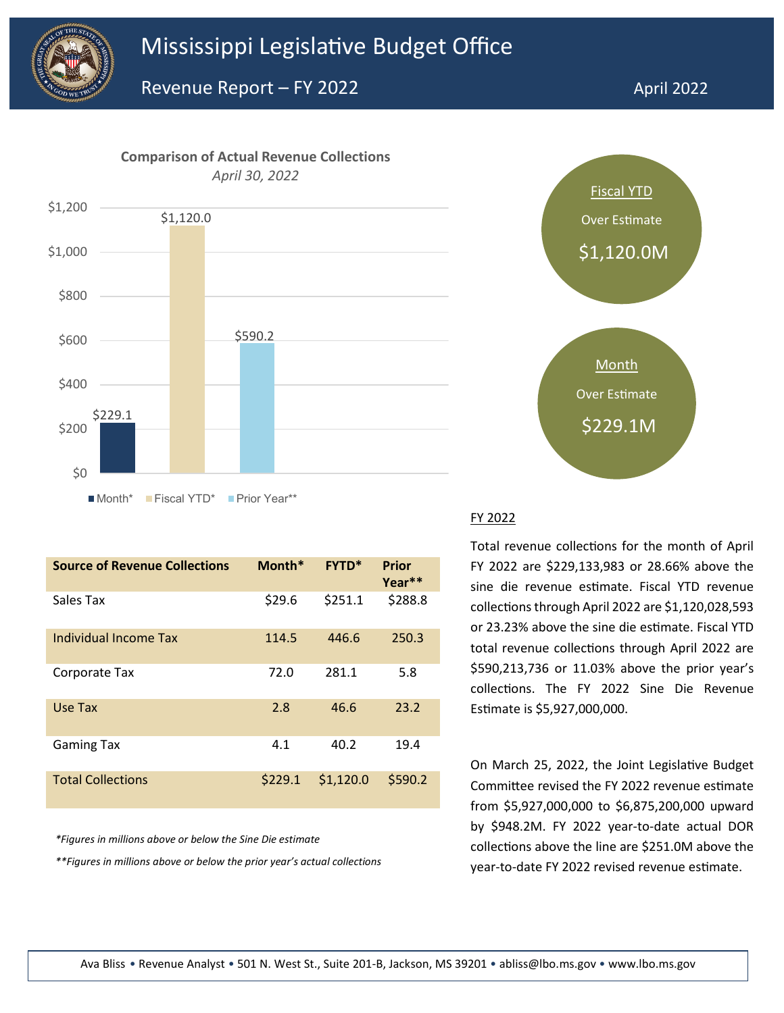



| <b>Source of Revenue Collections</b> | Month*  | <b>FYTD*</b> | <b>Prior</b><br>Year** |
|--------------------------------------|---------|--------------|------------------------|
| Sales Tax                            | \$29.6  | \$251.1      | \$288.8                |
| Individual Income Tax                | 114.5   | 446.6        | 250.3                  |
| Corporate Tax                        | 72.0    | 281.1        | 5.8                    |
| Use Tax                              | 2.8     | 46.6         | 23.2                   |
| <b>Gaming Tax</b>                    | 4.1     | 40.2         | 19.4                   |
| <b>Total Collections</b>             | \$229.1 | \$1,120.0    | \$590.2                |

*\*Figures in millions above or below the Sine Die estimate*



#### FY 2022

Total revenue collections for the month of April FY 2022 are \$229,133,983 or 28.66% above the sine die revenue estimate. Fiscal YTD revenue collections through April 2022 are \$1,120,028,593 or 23.23% above the sine die estimate. Fiscal YTD total revenue collections through April 2022 are \$590,213,736 or 11.03% above the prior year's collections. The FY 2022 Sine Die Revenue Estimate is \$5,927,000,000.

On March 25, 2022, the Joint Legislative Budget Committee revised the FY 2022 revenue estimate from \$5,927,000,000 to \$6,875,200,000 upward by \$948.2M. FY 2022 year-to-date actual DOR collections above the line are \$251.0M above the \*\*Figures in millions above or below the prior year's actual collections<br>year-to-date FY 2022 revised revenue estimate.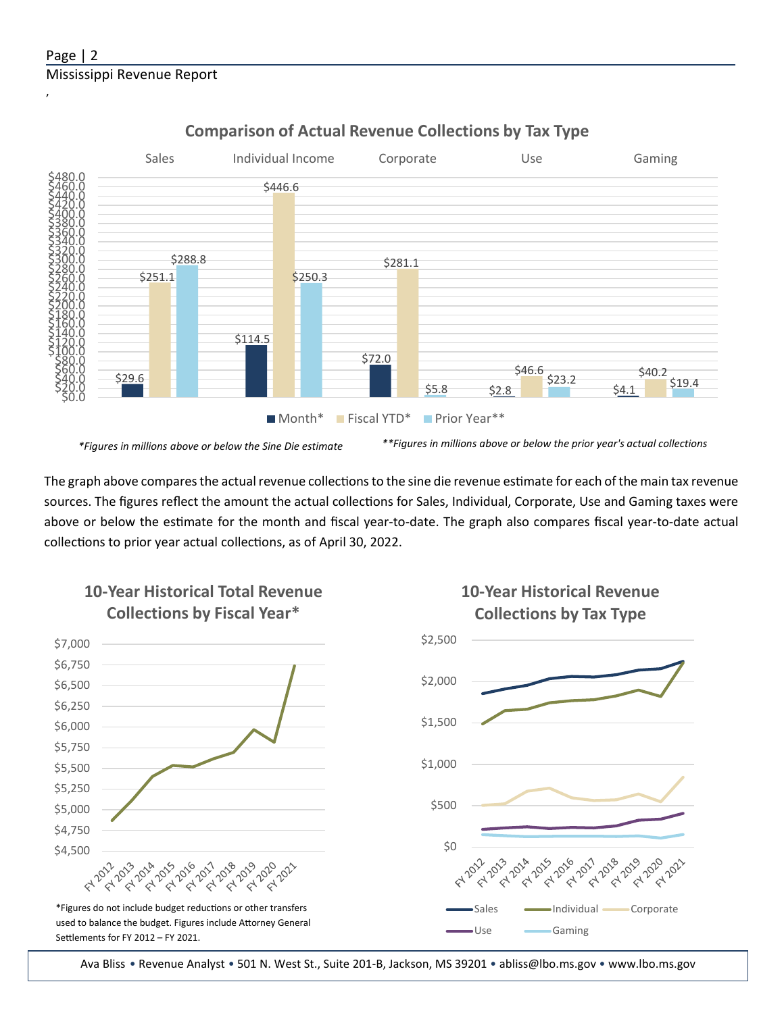# Page | 2 Mississippi Revenue Report

,



## **Comparison of Actual Revenue Collections by Tax Type**

*\*Figures in millions above or below the Sine Die estimate \*\*Figures in millions above or below the prior year's actual collections*

220 2021

The graph above compares the actual revenue collections to the sine die revenue estimate for each of the main tax revenue sources. The figures reflect the amount the actual collections for Sales, Individual, Corporate, Use and Gaming taxes were above or below the estimate for the month and fiscal year-to-date. The graph also compares fiscal year-to-date actual collections to prior year actual collections, as of April 30, 2022.



■ Use <del>- G</del>aming

Ava Bliss • Revenue Analyst • 501 N. West St., Suite 201-B, Jackson, MS 39201 • abliss@lbo.ms.gov • [www.lbo.ms.gov](http://www.mississippi.edu/urc)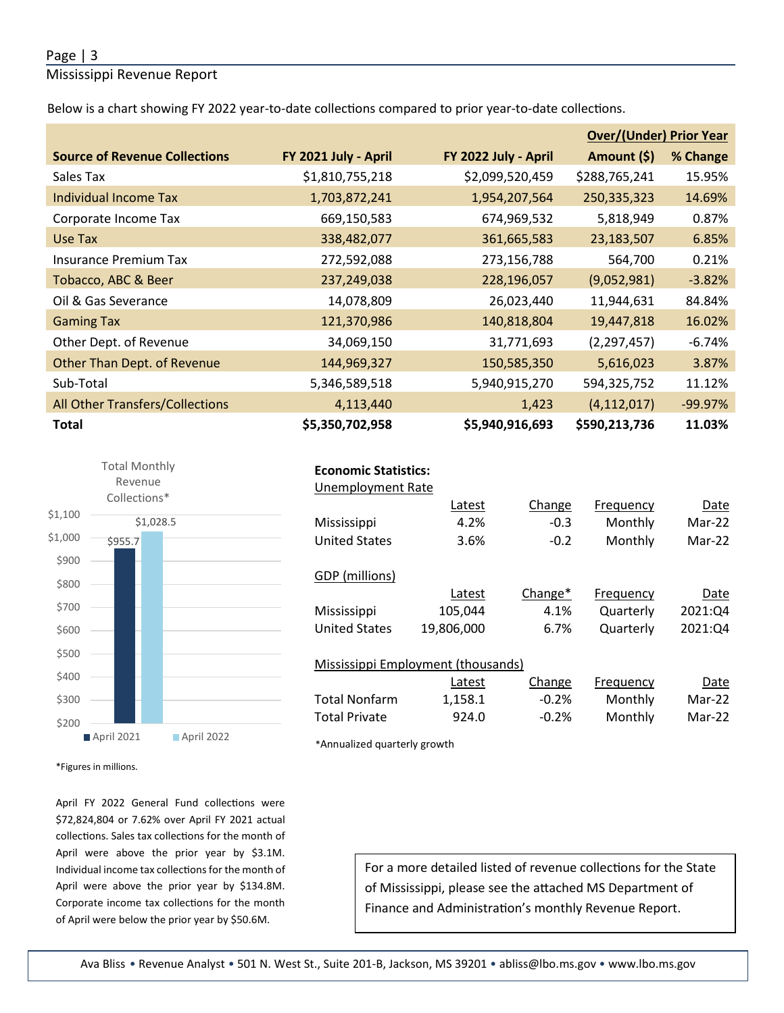#### Page | 3

Mississippi Revenue Report

Below is a chart showing FY 2022 year-to-date collections compared to prior year-to-date collections.

|                                        |                      |                      | <b>Over/(Under) Prior Year</b> |           |  |
|----------------------------------------|----------------------|----------------------|--------------------------------|-----------|--|
| <b>Source of Revenue Collections</b>   | FY 2021 July - April | FY 2022 July - April | Amount (\$)                    | % Change  |  |
| Sales Tax                              | \$1,810,755,218      | \$2,099,520,459      | \$288,765,241                  | 15.95%    |  |
| <b>Individual Income Tax</b>           | 1,703,872,241        | 1,954,207,564        | 250,335,323                    | 14.69%    |  |
| Corporate Income Tax                   | 669,150,583          | 674,969,532          | 5,818,949                      | 0.87%     |  |
| Use Tax                                | 338,482,077          | 361,665,583          | 23,183,507                     | 6.85%     |  |
| <b>Insurance Premium Tax</b>           | 272,592,088          | 273,156,788          | 564,700                        | 0.21%     |  |
| Tobacco, ABC & Beer                    | 237,249,038          | 228,196,057          | (9,052,981)                    | $-3.82%$  |  |
| Oil & Gas Severance                    | 14,078,809           | 26,023,440           | 11,944,631                     | 84.84%    |  |
| <b>Gaming Tax</b>                      | 121,370,986          | 140,818,804          | 19,447,818                     | 16.02%    |  |
| Other Dept. of Revenue                 | 34,069,150           | 31,771,693           | (2, 297, 457)                  | -6.74%    |  |
| Other Than Dept. of Revenue            | 144,969,327          | 150,585,350          | 5,616,023                      | 3.87%     |  |
| Sub-Total                              | 5,346,589,518        | 5,940,915,270        | 594,325,752                    | 11.12%    |  |
| <b>All Other Transfers/Collections</b> | 4,113,440            | 1,423                | (4, 112, 017)                  | $-99.97%$ |  |
| <b>Total</b>                           | \$5,350,702,958      | \$5,940,916,693      | \$590,213,736                  | 11.03%    |  |



| <b>Economic Statistics:</b> |                                    |         |           |          |
|-----------------------------|------------------------------------|---------|-----------|----------|
| <b>Unemployment Rate</b>    |                                    |         |           |          |
|                             | Latest                             | Change  | Frequency | Date     |
| Mississippi                 | 4.2%                               | $-0.3$  | Monthly   | Mar-22   |
| <b>United States</b>        | 3.6%                               | $-0.2$  | Monthly   | $Mar-22$ |
| GDP (millions)              |                                    |         |           |          |
|                             | Latest                             | Change* | Frequency | Date     |
| Mississippi                 | 105,044                            | 4.1%    | Quarterly | 2021:Q4  |
| <b>United States</b>        | 19,806,000                         | 6.7%    | Quarterly | 2021:Q4  |
|                             | Mississippi Employment (thousands) |         |           |          |
|                             | Latest                             | Change  | Frequency | Date     |
| Total Nonfarm               | 1,158.1                            | $-0.2%$ | Monthly   | Mar-22   |
| <b>Total Private</b>        | 924.0                              | $-0.2%$ | Monthly   | Mar-22   |

\*Annualized quarterly growth

\*Figures in millions.

April FY 2022 General Fund collections were \$72,824,804 or 7.62% over April FY 2021 actual collections. Sales tax collections for the month of April were above the prior year by \$3.1M. Individual income tax collections for the month of April were above the prior year by \$134.8M. Corporate income tax collections for the month of April were below the prior year by \$50.6M.

For a more detailed listed of revenue collections for the State of Mississippi, please see the atached MS Department of Finance and Administration's monthly Revenue Report.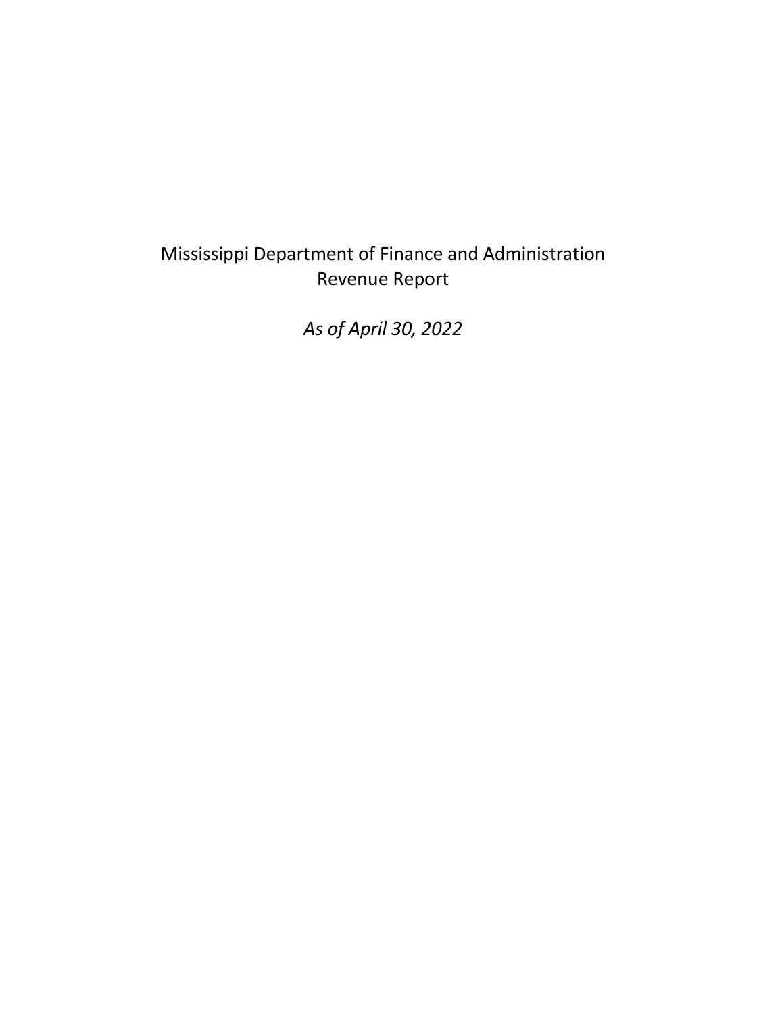# Mississippi Department of Finance and Administration Revenue Report

*As of April 30, 2022*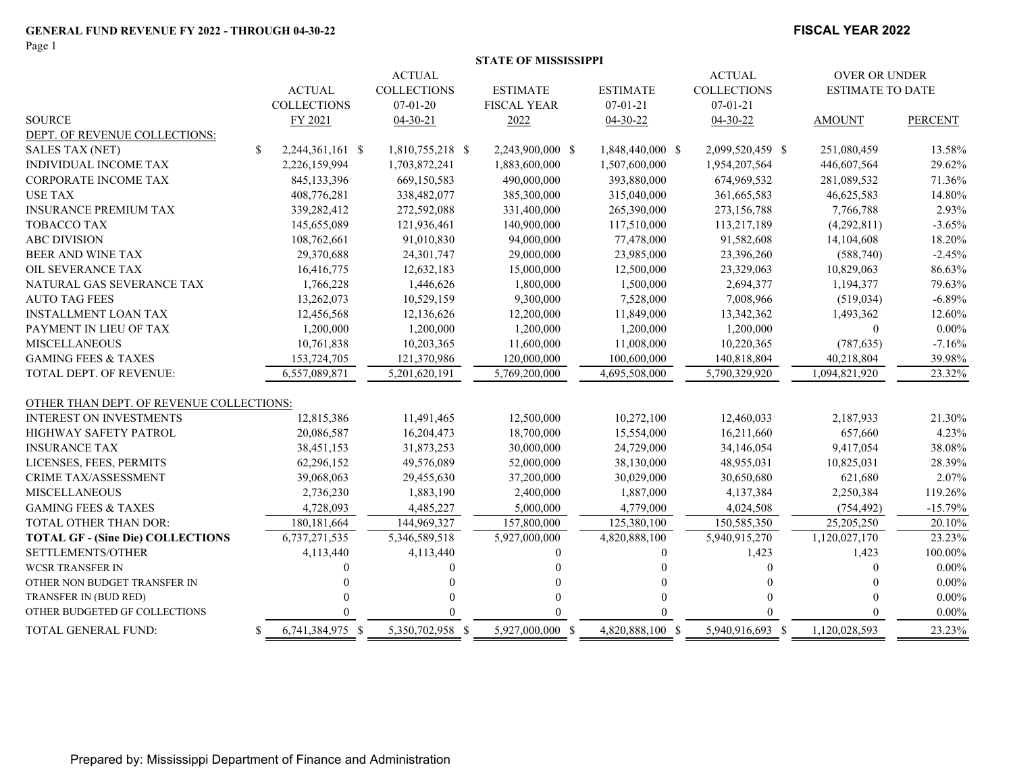Page 1

#### **FISCAL YEAR 2022**

|  | STATE OF MISSISSIPPI |
|--|----------------------|
|  |                      |

|                                          |                    | <b>ACTUAL</b>      |                    |                  | <b>ACTUAL</b>      | <b>OVER OR UNDER</b>    |                |
|------------------------------------------|--------------------|--------------------|--------------------|------------------|--------------------|-------------------------|----------------|
|                                          | <b>ACTUAL</b>      | <b>COLLECTIONS</b> | <b>ESTIMATE</b>    | <b>ESTIMATE</b>  | <b>COLLECTIONS</b> | <b>ESTIMATE TO DATE</b> |                |
|                                          | <b>COLLECTIONS</b> | $07-01-20$         | <b>FISCAL YEAR</b> | $07 - 01 - 21$   | $07 - 01 - 21$     |                         |                |
| <b>SOURCE</b>                            | FY 2021            | $04-30-21$         | 2022               | 04-30-22         | 04-30-22           | <b>AMOUNT</b>           | <b>PERCENT</b> |
| DEPT. OF REVENUE COLLECTIONS:            |                    |                    |                    |                  |                    |                         |                |
| \$<br><b>SALES TAX (NET)</b>             | 2,244,361,161 \$   | 1,810,755,218 \$   | 2,243,900,000 \$   | 1,848,440,000 \$ | 2,099,520,459 \$   | 251,080,459             | 13.58%         |
| <b>INDIVIDUAL INCOME TAX</b>             | 2,226,159,994      | 1,703,872,241      | 1,883,600,000      | 1,507,600,000    | 1,954,207,564      | 446,607,564             | 29.62%         |
| <b>CORPORATE INCOME TAX</b>              | 845,133,396        | 669,150,583        | 490,000,000        | 393,880,000      | 674,969,532        | 281,089,532             | 71.36%         |
| <b>USE TAX</b>                           | 408,776,281        | 338,482,077        | 385,300,000        | 315,040,000      | 361,665,583        | 46,625,583              | 14.80%         |
| <b>INSURANCE PREMIUM TAX</b>             | 339,282,412        | 272,592,088        | 331,400,000        | 265,390,000      | 273,156,788        | 7,766,788               | 2.93%          |
| <b>TOBACCO TAX</b>                       | 145,655,089        | 121,936,461        | 140,900,000        | 117,510,000      | 113,217,189        | (4,292,811)             | $-3.65%$       |
| <b>ABC DIVISION</b>                      | 108,762,661        | 91,010,830         | 94,000,000         | 77,478,000       | 91,582,608         | 14,104,608              | 18.20%         |
| BEER AND WINE TAX                        | 29,370,688         | 24,301,747         | 29,000,000         | 23,985,000       | 23,396,260         | (588,740)               | $-2.45%$       |
| OIL SEVERANCE TAX                        | 16,416,775         | 12,632,183         | 15,000,000         | 12,500,000       | 23,329,063         | 10,829,063              | 86.63%         |
| NATURAL GAS SEVERANCE TAX                | 1,766,228          | 1,446,626          | 1,800,000          | 1,500,000        | 2,694,377          | 1,194,377               | 79.63%         |
| <b>AUTO TAG FEES</b>                     | 13,262,073         | 10,529,159         | 9,300,000          | 7,528,000        | 7,008,966          | (519, 034)              | $-6.89%$       |
| <b>INSTALLMENT LOAN TAX</b>              | 12,456,568         | 12,136,626         | 12,200,000         | 11,849,000       | 13,342,362         | 1,493,362               | 12.60%         |
| PAYMENT IN LIEU OF TAX                   | 1,200,000          | 1,200,000          | 1,200,000          | 1,200,000        | 1,200,000          | $\mathbf{0}$            | $0.00\%$       |
| <b>MISCELLANEOUS</b>                     | 10,761,838         | 10,203,365         | 11,600,000         | 11,008,000       | 10,220,365         | (787, 635)              | $-7.16%$       |
| <b>GAMING FEES &amp; TAXES</b>           | 153,724,705        | 121,370,986        | 120,000,000        | 100,600,000      | 140,818,804        | 40,218,804              | 39.98%         |
| TOTAL DEPT. OF REVENUE:                  | 6,557,089,871      | 5,201,620,191      | 5,769,200,000      | 4,695,508,000    | 5,790,329,920      | 1,094,821,920           | 23.32%         |
| OTHER THAN DEPT. OF REVENUE COLLECTIONS: |                    |                    |                    |                  |                    |                         |                |
| <b>INTEREST ON INVESTMENTS</b>           | 12,815,386         | 11,491,465         | 12,500,000         | 10,272,100       | 12,460,033         | 2,187,933               | 21.30%         |
| <b>HIGHWAY SAFETY PATROL</b>             | 20,086,587         | 16,204,473         | 18,700,000         | 15,554,000       | 16,211,660         | 657,660                 | 4.23%          |
| <b>INSURANCE TAX</b>                     | 38,451,153         | 31,873,253         | 30,000,000         | 24,729,000       | 34,146,054         | 9,417,054               | 38.08%         |
| LICENSES, FEES, PERMITS                  | 62,296,152         | 49,576,089         | 52,000,000         | 38,130,000       | 48,955,031         | 10,825,031              | 28.39%         |
| <b>CRIME TAX/ASSESSMENT</b>              | 39,068,063         | 29,455,630         | 37,200,000         | 30,029,000       | 30,650,680         | 621,680                 | 2.07%          |
| <b>MISCELLANEOUS</b>                     | 2,736,230          | 1,883,190          | 2,400,000          | 1,887,000        | 4,137,384          | 2,250,384               | 119.26%        |
| <b>GAMING FEES &amp; TAXES</b>           | 4,728,093          | 4,485,227          | 5,000,000          | 4,779,000        | 4,024,508          | (754, 492)              | $-15.79%$      |
| TOTAL OTHER THAN DOR:                    | 180, 181, 664      | 144,969,327        | 157,800,000        | 125,380,100      | 150,585,350        | 25,205,250              | 20.10%         |
| <b>TOTAL GF - (Sine Die) COLLECTIONS</b> | 6,737,271,535      | 5,346,589,518      | 5,927,000,000      | 4,820,888,100    | 5,940,915,270      | 1,120,027,170           | 23.23%         |
| SETTLEMENTS/OTHER                        | 4,113,440          | 4,113,440          |                    | 0                | 1,423              | 1,423                   | 100.00%        |
| <b>WCSR TRANSFER IN</b>                  |                    |                    |                    |                  |                    |                         | $0.00\%$       |
| OTHER NON BUDGET TRANSFER IN             |                    |                    |                    |                  |                    |                         | $0.00\%$       |
| TRANSFER IN (BUD RED)                    |                    |                    |                    |                  |                    |                         | $0.00\%$       |
| OTHER BUDGETED GF COLLECTIONS            |                    |                    |                    |                  |                    |                         | $0.00\%$       |
| TOTAL GENERAL FUND:<br>-S                | 6,741,384,975 \$   | 5,350,702,958 \$   | 5,927,000,000 \$   | 4,820,888,100 \$ | 5,940,916,693 \$   | 1,120,028,593           | 23.23%         |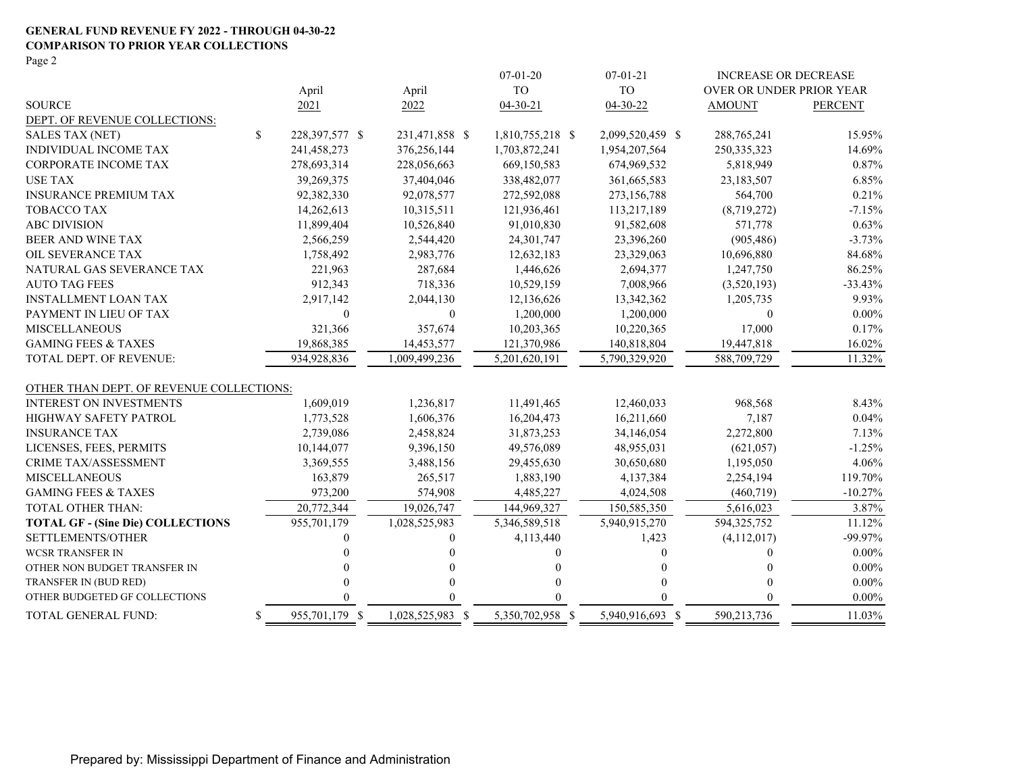#### **GENERAL FUND REVENUE FY 2022 - THROUGH 04-30-22 COMPARISON TO PRIOR YEAR COLLECTIONS**

Page 2

|                                          |                      |                  | $07 - 01 - 20$   | $07 - 01 - 21$   | <b>INCREASE OR DECREASE</b> |                |
|------------------------------------------|----------------------|------------------|------------------|------------------|-----------------------------|----------------|
|                                          | April                | April            | <b>TO</b>        | <b>TO</b>        | OVER OR UNDER PRIOR YEAR    |                |
| <b>SOURCE</b>                            | 2021                 | 2022             | $04 - 30 - 21$   | $04 - 30 - 22$   | <b>AMOUNT</b>               | <b>PERCENT</b> |
| DEPT. OF REVENUE COLLECTIONS:            |                      |                  |                  |                  |                             |                |
| <b>SALES TAX (NET)</b>                   | \$<br>228,397,577 \$ | 231,471,858 \$   | 1,810,755,218 \$ | 2,099,520,459 \$ | 288,765,241                 | 15.95%         |
| <b>INDIVIDUAL INCOME TAX</b>             | 241,458,273          | 376,256,144      | 1,703,872,241    | 1,954,207,564    | 250, 335, 323               | 14.69%         |
| <b>CORPORATE INCOME TAX</b>              | 278,693,314          | 228,056,663      | 669,150,583      | 674,969,532      | 5,818,949                   | 0.87%          |
| <b>USE TAX</b>                           | 39,269,375           | 37,404,046       | 338,482,077      | 361, 665, 583    | 23,183,507                  | 6.85%          |
| <b>INSURANCE PREMIUM TAX</b>             | 92,382,330           | 92,078,577       | 272,592,088      | 273,156,788      | 564,700                     | 0.21%          |
| <b>TOBACCO TAX</b>                       | 14,262,613           | 10,315,511       | 121,936,461      | 113,217,189      | (8,719,272)                 | $-7.15%$       |
| <b>ABC DIVISION</b>                      | 11,899,404           | 10,526,840       | 91,010,830       | 91,582,608       | 571,778                     | 0.63%          |
| BEER AND WINE TAX                        | 2,566,259            | 2,544,420        | 24,301,747       | 23,396,260       | (905, 486)                  | $-3.73%$       |
| OIL SEVERANCE TAX                        | 1,758,492            | 2,983,776        | 12,632,183       | 23,329,063       | 10,696,880                  | 84.68%         |
| NATURAL GAS SEVERANCE TAX                | 221,963              | 287,684          | 1,446,626        | 2,694,377        | 1,247,750                   | 86.25%         |
| <b>AUTO TAG FEES</b>                     | 912,343              | 718,336          | 10,529,159       | 7,008,966        | (3,520,193)                 | $-33.43%$      |
| <b>INSTALLMENT LOAN TAX</b>              | 2,917,142            | 2,044,130        | 12,136,626       | 13,342,362       | 1,205,735                   | 9.93%          |
| PAYMENT IN LIEU OF TAX                   | 0                    | $\theta$         | 1,200,000        | 1,200,000        | $\Omega$                    | $0.00\%$       |
| <b>MISCELLANEOUS</b>                     | 321,366              | 357,674          | 10,203,365       | 10,220,365       | 17,000                      | 0.17%          |
| <b>GAMING FEES &amp; TAXES</b>           | 19,868,385           | 14,453,577       | 121,370,986      | 140,818,804      | 19,447,818                  | 16.02%         |
| TOTAL DEPT. OF REVENUE:                  | 934,928,836          | 1,009,499,236    | 5,201,620,191    | 5,790,329,920    | 588,709,729                 | 11.32%         |
| OTHER THAN DEPT. OF REVENUE COLLECTIONS: |                      |                  |                  |                  |                             |                |
| <b>INTEREST ON INVESTMENTS</b>           | 1,609,019            | 1,236,817        | 11,491,465       | 12,460,033       | 968,568                     | 8.43%          |
| <b>HIGHWAY SAFETY PATROL</b>             | 1,773,528            | 1,606,376        | 16,204,473       | 16,211,660       | 7,187                       | 0.04%          |
| <b>INSURANCE TAX</b>                     | 2,739,086            | 2,458,824        | 31,873,253       | 34,146,054       | 2,272,800                   | 7.13%          |
| LICENSES, FEES, PERMITS                  | 10,144,077           | 9,396,150        | 49,576,089       | 48,955,031       | (621, 057)                  | $-1.25%$       |
| <b>CRIME TAX/ASSESSMENT</b>              | 3,369,555            | 3,488,156        | 29,455,630       | 30,650,680       | 1,195,050                   | 4.06%          |
| <b>MISCELLANEOUS</b>                     | 163,879              | 265,517          | 1,883,190        | 4,137,384        | 2,254,194                   | 119.70%        |
| <b>GAMING FEES &amp; TAXES</b>           | 973,200              | 574,908          | 4,485,227        | 4,024,508        | (460, 719)                  | $-10.27%$      |
| TOTAL OTHER THAN:                        | 20,772,344           | 19,026,747       | 144,969,327      | 150,585,350      | 5,616,023                   | 3.87%          |
| <b>TOTAL GF - (Sine Die) COLLECTIONS</b> | 955,701,179          | 1,028,525,983    | 5,346,589,518    | 5,940,915,270    | 594, 325, 752               | 11.12%         |
| SETTLEMENTS/OTHER                        | 0                    | $\Omega$         | 4,113,440        | 1,423            | (4,112,017)                 | -99.97%        |
| <b>WCSR TRANSFER IN</b>                  | 0                    | $\Omega$         |                  | 0                | $\Omega$                    | $0.00\%$       |
| OTHER NON BUDGET TRANSFER IN             |                      | $\Omega$         |                  | 0                | $\Omega$                    | $0.00\%$       |
| TRANSFER IN (BUD RED)                    | 0                    | $\Omega$         |                  | 0                | $\Omega$                    | $0.00\%$       |
| OTHER BUDGETED GF COLLECTIONS            | 0                    | $\Omega$         |                  | 0                |                             | $0.00\%$       |
| TOTAL GENERAL FUND:                      | \$<br>955,701,179 \$ | 1,028,525,983 \$ | 5,350,702,958 \$ | 5,940,916,693 \$ | 590,213,736                 | 11.03%         |